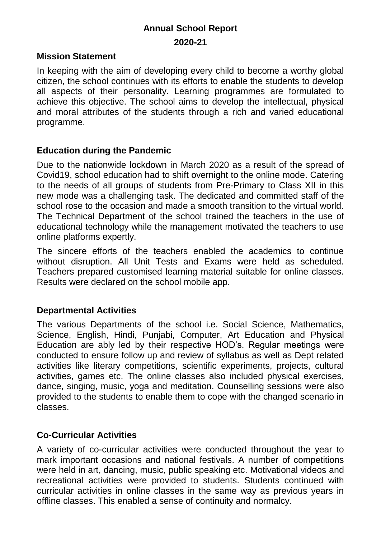# **Annual School Report 2020-21**

#### **Mission Statement**

In keeping with the aim of developing every child to become a worthy global citizen, the school continues with its efforts to enable the students to develop all aspects of their personality. Learning programmes are formulated to achieve this objective. The school aims to develop the intellectual, physical and moral attributes of the students through a rich and varied educational programme.

#### **Education during the Pandemic**

Due to the nationwide lockdown in March 2020 as a result of the spread of Covid19, school education had to shift overnight to the online mode. Catering to the needs of all groups of students from Pre-Primary to Class XII in this new mode was a challenging task. The dedicated and committed staff of the school rose to the occasion and made a smooth transition to the virtual world. The Technical Department of the school trained the teachers in the use of educational technology while the management motivated the teachers to use online platforms expertly.

The sincere efforts of the teachers enabled the academics to continue without disruption. All Unit Tests and Exams were held as scheduled. Teachers prepared customised learning material suitable for online classes. Results were declared on the school mobile app.

#### **Departmental Activities**

The various Departments of the school i.e. Social Science, Mathematics, Science, English, Hindi, Punjabi, Computer, Art Education and Physical Education are ably led by their respective HOD's. Regular meetings were conducted to ensure follow up and review of syllabus as well as Dept related activities like literary competitions, scientific experiments, projects, cultural activities, games etc. The online classes also included physical exercises, dance, singing, music, yoga and meditation. Counselling sessions were also provided to the students to enable them to cope with the changed scenario in classes.

#### **Co-Curricular Activities**

A variety of co-curricular activities were conducted throughout the year to mark important occasions and national festivals. A number of competitions were held in art, dancing, music, public speaking etc. Motivational videos and recreational activities were provided to students. Students continued with curricular activities in online classes in the same way as previous years in offline classes. This enabled a sense of continuity and normalcy.